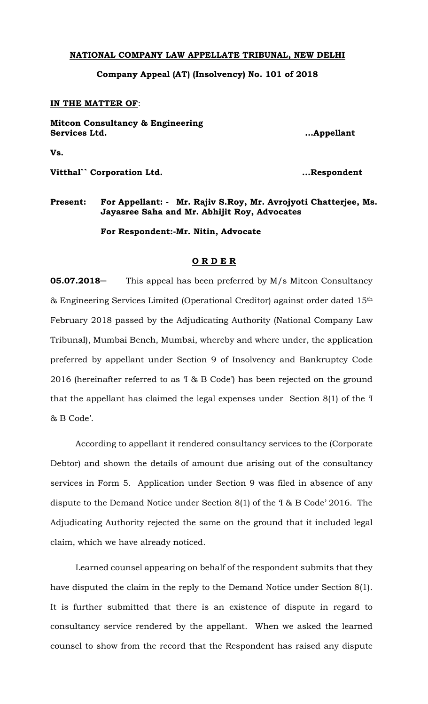## **NATIONAL COMPANY LAW APPELLATE TRIBUNAL, NEW DELHI**

**Company Appeal (AT) (Insolvency) No. 101 of 2018**

## **IN THE MATTER OF**:

**Mitcon Consultancy & Engineering Services Ltd. ...Appellant**

**Vs.**

**Vitthal`` Corporation Ltd. ...Respondent**

## **Present: For Appellant: - Mr. Rajiv S.Roy, Mr. Avrojyoti Chatterjee, Ms. Jayasree Saha and Mr. Abhijit Roy, Advocates**

**For Respondent:-Mr. Nitin, Advocate**

## **O R D E R**

**05.07.2018** This appeal has been preferred by M/s Mitcon Consultancy & Engineering Services Limited (Operational Creditor) against order dated 15th February 2018 passed by the Adjudicating Authority (National Company Law Tribunal), Mumbai Bench, Mumbai, whereby and where under, the application preferred by appellant under Section 9 of Insolvency and Bankruptcy Code 2016 (hereinafter referred to as 'I & B Code') has been rejected on the ground that the appellant has claimed the legal expenses under Section 8(1) of the 'I & B Code'.

According to appellant it rendered consultancy services to the (Corporate Debtor) and shown the details of amount due arising out of the consultancy services in Form 5. Application under Section 9 was filed in absence of any dispute to the Demand Notice under Section 8(1) of the 'I & B Code' 2016. The Adjudicating Authority rejected the same on the ground that it included legal claim, which we have already noticed.

Learned counsel appearing on behalf of the respondent submits that they have disputed the claim in the reply to the Demand Notice under Section 8(1). It is further submitted that there is an existence of dispute in regard to consultancy service rendered by the appellant. When we asked the learned counsel to show from the record that the Respondent has raised any dispute